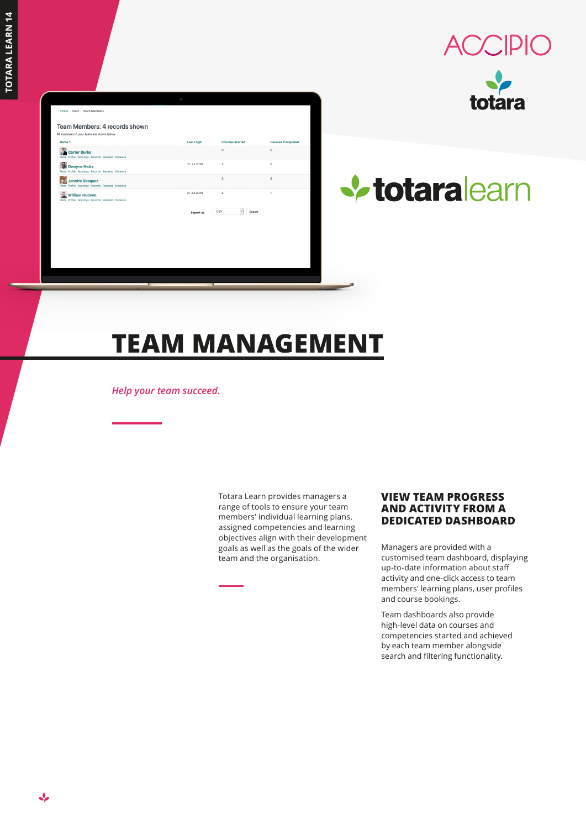$\mathbf{v}$ 

|                                                                              | ٥                 |                        |                          |
|------------------------------------------------------------------------------|-------------------|------------------------|--------------------------|
|                                                                              |                   |                        |                          |
| Home / Team / Team Members                                                   |                   |                        |                          |
| Team Members: 4 records shown                                                |                   |                        |                          |
| All members of your team are shown below.                                    |                   |                        |                          |
| Name -                                                                       | <b>Last Login</b> | <b>Courses Started</b> | <b>Courses Completed</b> |
| <b>Carter Burke</b><br>Plans Profile Bookings Records Required Evidence      |                   | $\circ$                | $\circ$                  |
| e<br><b>Dwayne Hicks</b><br>Plans Profile Bookings Records Required Evidence | 21 Jul 2020       | $\overline{2}$         | $\mathbf 0$              |
| <b>Jenette Vasquez</b><br>Plans Profile Bookings Records Required Evidence   |                   | $\overline{2}$         | $\bar{2}$                |
| <b>William Hudson</b><br>Plans Profile Bookings Records Required Evidence    | 21 Jul 2020       | $\overline{2}$         | 1                        |
|                                                                              | <b>Export</b> as  | csv<br>٠<br>Export     |                          |
|                                                                              |                   |                        |                          |
|                                                                              |                   |                        |                          |
|                                                                              |                   |                        |                          |
|                                                                              |                   |                        |                          |
|                                                                              |                   |                        |                          |
|                                                                              |                   |                        |                          |







# **TEAM MANAGEMENT**

*Help your team succeed.*

Totara Learn provides managers a range of tools to ensure your team members' individual learning plans, assigned competencies and learning objectives align with their development goals as well as the goals of the wider team and the organisation.

### **VIEW TEAM PROGRESS AND ACTIVITY FROM A DEDICATED DASHBOARD**

Managers are provided with a customised team dashboard, displaying up-to-date information about staff activity and one-click access to team members' learning plans, user profiles and course bookings.

Team dashboards also provide high-level data on courses and competencies started and achieved by each team member alongside search and filtering functionality.